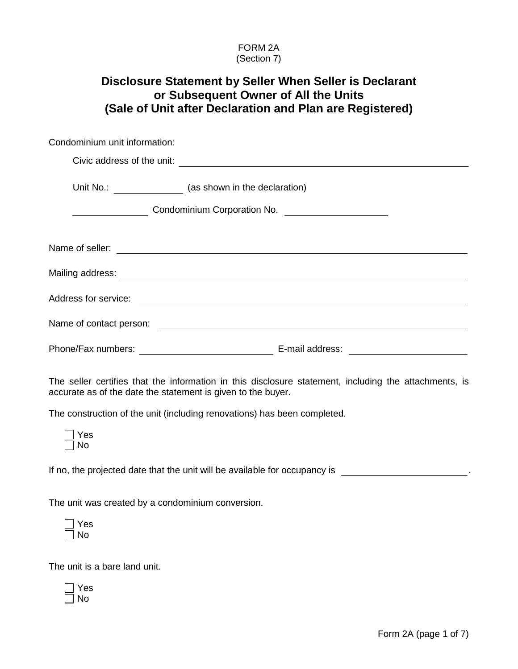## FORM 2A (Section 7)

|                               | Disclosure Statement by Seller When Seller is Declarant<br>or Subsequent Owner of All the Units<br>(Sale of Unit after Declaration and Plan are Registered)           |
|-------------------------------|-----------------------------------------------------------------------------------------------------------------------------------------------------------------------|
| Condominium unit information: |                                                                                                                                                                       |
|                               |                                                                                                                                                                       |
|                               | Unit No.: ___________________ (as shown in the declaration)                                                                                                           |
|                               | ______________________Condominium Corporation No. ______________________________                                                                                      |
|                               | Name of seller:<br>Name of seller:                                                                                                                                    |
|                               |                                                                                                                                                                       |
|                               |                                                                                                                                                                       |
|                               |                                                                                                                                                                       |
|                               |                                                                                                                                                                       |
|                               | The seller certifies that the information in this disclosure statement, including the attachments, is<br>accurate as of the date the statement is given to the buyer. |
|                               | The construction of the unit (including renovations) has been completed.                                                                                              |
| Yes<br>No                     |                                                                                                                                                                       |
|                               | If no, the projected date that the unit will be available for occupancy is                                                                                            |
|                               | The unit was created by a condominium conversion.                                                                                                                     |
| Yes<br>No                     |                                                                                                                                                                       |
| The unit is a bare land unit. |                                                                                                                                                                       |
| Yes                           |                                                                                                                                                                       |

No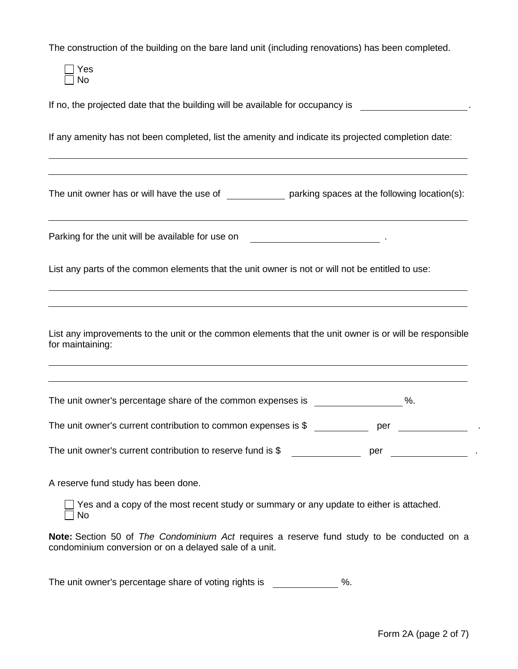The construction of the building on the bare land unit (including renovations) has been completed.

Yes  $\Box$  No

If no, the projected date that the building will be available for occupancy is

If any amenity has not been completed, list the amenity and indicate its projected completion date:

The unit owner has or will have the use of  $\rule{1em}{0.15mm}$  parking spaces at the following location(s):

Parking for the unit will be available for use on  $\blacksquare$ 

List any parts of the common elements that the unit owner is not or will not be entitled to use:

List any improvements to the unit or the common elements that the unit owner is or will be responsible for maintaining:

The unit owner's percentage share of the common expenses is  $\%$ .

The unit owner's current contribution to common expenses is \$ per ...

The unit owner's current contribution to reserve fund is \$ per ...

A reserve fund study has been done.

 $\Box$  Yes and a copy of the most recent study or summary or any update to either is attached.  $\Box$  No

**Note:** Section 50 of *The Condominium Act* requires a reserve fund study to be conducted on a condominium conversion or on a delayed sale of a unit.

The unit owner's percentage share of voting rights is  $\%$ .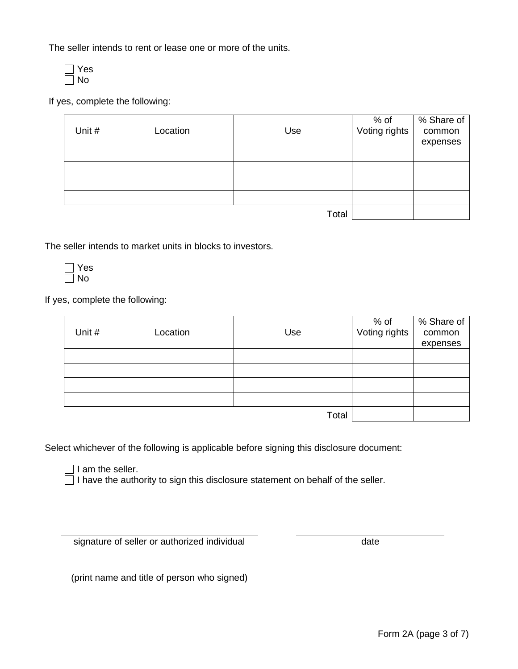The seller intends to rent or lease one or more of the units.



If yes, complete the following:

|        |          |       | % of<br>Voting rights | % Share of |
|--------|----------|-------|-----------------------|------------|
| Unit # | Location | Use   |                       | common     |
|        |          |       |                       | expenses   |
|        |          |       |                       |            |
|        |          |       |                       |            |
|        |          |       |                       |            |
|        |          |       |                       |            |
|        |          | Total |                       |            |

The seller intends to market units in blocks to investors.

 $\Box$  Yes No

If yes, complete the following:

|        |          |       | % of<br>Voting rights | % Share of |
|--------|----------|-------|-----------------------|------------|
| Unit # | Location | Use   |                       | common     |
|        |          |       |                       | expenses   |
|        |          |       |                       |            |
|        |          |       |                       |            |
|        |          |       |                       |            |
|        |          |       |                       |            |
|        |          | Total |                       |            |

Select whichever of the following is applicable before signing this disclosure document:

 $\Box$  I am the seller.

 $\Box$  I have the authority to sign this disclosure statement on behalf of the seller.

signature of seller or authorized individual date

(print name and title of person who signed)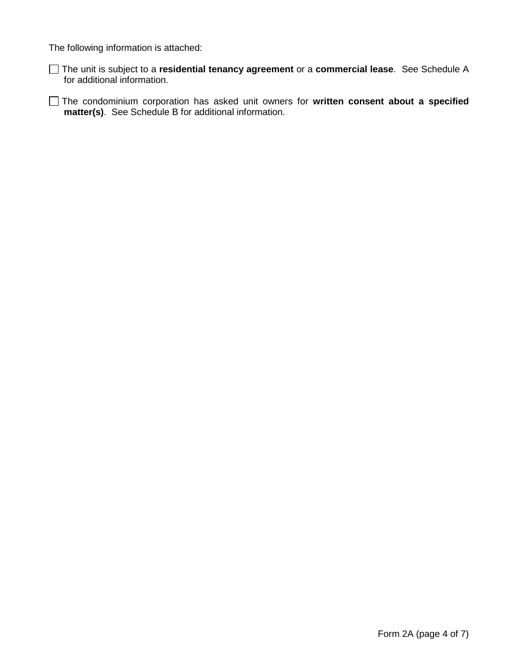The following information is attached:

The unit is subject to a **residential tenancy agreement** or a **commercial lease**. See Schedule A for additional information.

The condominium corporation has asked unit owners for **written consent about a specified matter(s)**. See Schedule B for additional information.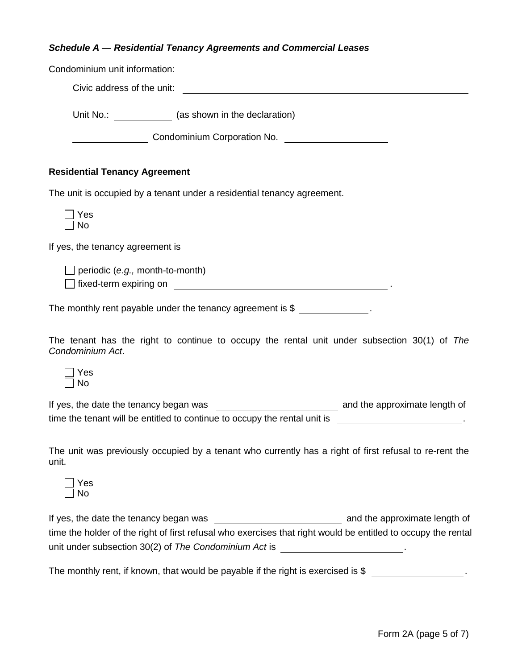## *Schedule A — Residential Tenancy Agreements and Commercial Leases*

| Condominium unit information:                                                                                                                                                                                                                                                |
|------------------------------------------------------------------------------------------------------------------------------------------------------------------------------------------------------------------------------------------------------------------------------|
| Civic address of the unit:                                                                                                                                                                                                                                                   |
| Unit No.: _______________ (as shown in the declaration)                                                                                                                                                                                                                      |
| Condominium Corporation No. [1994] Condominium Corporation No.                                                                                                                                                                                                               |
| <b>Residential Tenancy Agreement</b>                                                                                                                                                                                                                                         |
| The unit is occupied by a tenant under a residential tenancy agreement.                                                                                                                                                                                                      |
| Yes<br>No                                                                                                                                                                                                                                                                    |
| If yes, the tenancy agreement is                                                                                                                                                                                                                                             |
| $\Box$ periodic (e.g., month-to-month)<br>□ fixed-term expiring on <u>entitled</u> the state of the state of the state of the state of the state of the state of                                                                                                             |
| The monthly rent payable under the tenancy agreement is $\frac{1}{2}$ _______________.                                                                                                                                                                                       |
| The tenant has the right to continue to occupy the rental unit under subsection 30(1) of The<br>Condominium Act.                                                                                                                                                             |
| Yes<br>No                                                                                                                                                                                                                                                                    |
| time the tenant will be entitled to continue to occupy the rental unit is _________________________.                                                                                                                                                                         |
| The unit was previously occupied by a tenant who currently has a right of first refusal to re-rent the<br>unit.                                                                                                                                                              |
| Yes<br>No                                                                                                                                                                                                                                                                    |
| and the approximate length of<br>If yes, the date the tenancy began was<br>time the holder of the right of first refusal who exercises that right would be entitled to occupy the rental<br>unit under subsection 30(2) of The Condominium Act is _________________________. |
| The monthly rent, if known, that would be payable if the right is exercised is \$                                                                                                                                                                                            |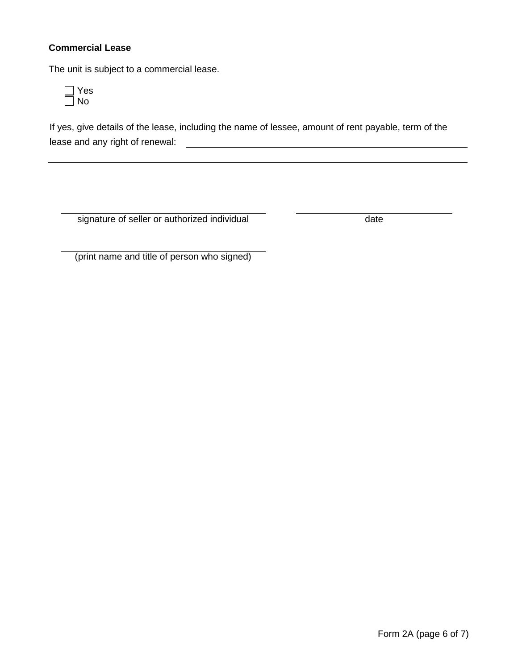## **Commercial Lease**

The unit is subject to a commercial lease.



If yes, give details of the lease, including the name of lessee, amount of rent payable, term of the lease and any right of renewal:

signature of seller or authorized individual date

(print name and title of person who signed)